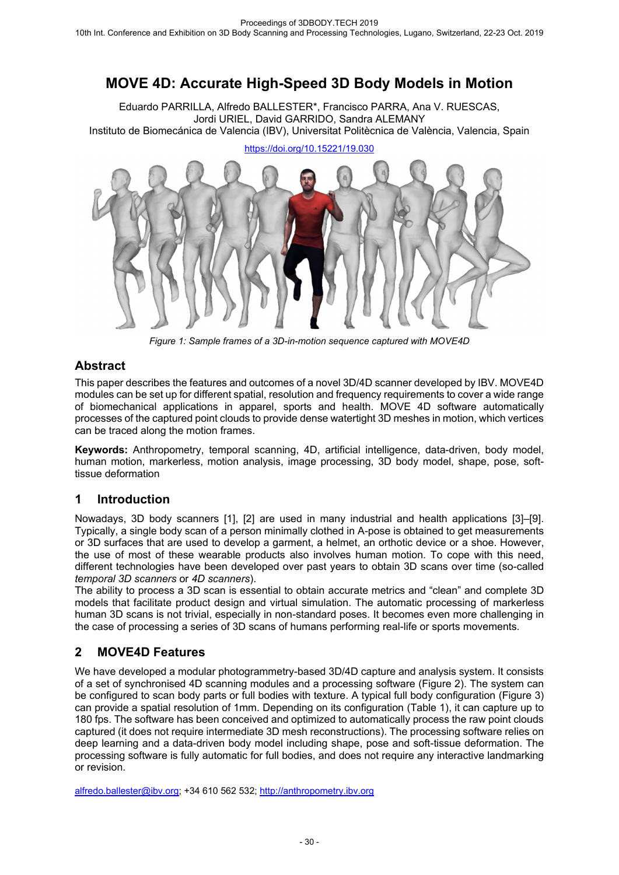# **MOVE 4D: Accurate High-Speed 3D Body Models in Motion**

Eduardo PARRILLA, Alfredo BALLESTER\*, Francisco PARRA, Ana V. RUESCAS, Jordi URIEL, David GARRIDO, Sandra ALEMANY Instituto de Biomecánica de Valencia (IBV), Universitat Politècnica de València, Valencia, Spain



*Figure 1: Sample frames of a 3D-in-motion sequence captured with MOVE4D* 

## **Abstract**

This paper describes the features and outcomes of a novel 3D/4D scanner developed by IBV. MOVE4D modules can be set up for different spatial, resolution and frequency requirements to cover a wide range of biomechanical applications in apparel, sports and health. MOVE 4D software automatically processes of the captured point clouds to provide dense watertight 3D meshes in motion, which vertices can be traced along the motion frames.

**Keywords:** Anthropometry, temporal scanning, 4D, artificial intelligence, data-driven, body model, human motion, markerless, motion analysis, image processing, 3D body model, shape, pose, softtissue deformation

# **1 Introduction**

Nowadays, 3D body scanners [1], [2] are used in many industrial and health applications [3]–[9]. Typically, a single body scan of a person minimally clothed in A-pose is obtained to get measurements or 3D surfaces that are used to develop a garment, a helmet, an orthotic device or a shoe. However, the use of most of these wearable products also involves human motion. To cope with this need, different technologies have been developed over past years to obtain 3D scans over time (so-called *temporal 3D scanners* or *4D scanners*).

The ability to process a 3D scan is essential to obtain accurate metrics and "clean" and complete 3D models that facilitate product design and virtual simulation. The automatic processing of markerless human 3D scans is not trivial, especially in non-standard poses. It becomes even more challenging in the case of processing a series of 3D scans of humans performing real-life or sports movements.

# **2 MOVE4D Features**

We have developed a modular photogrammetry-based 3D/4D capture and analysis system. It consists of a set of synchronised 4D scanning modules and a processing software (Figure 2). The system can be configured to scan body parts or full bodies with texture. A typical full body configuration (Figure 3) can provide a spatial resolution of 1mm. Depending on its configuration (Table 1), it can capture up to 180 fps. The software has been conceived and optimized to automatically process the raw point clouds captured (it does not require intermediate 3D mesh reconstructions). The processing software relies on deep learning and a data-driven body model including shape, pose and soft-tissue deformation. The processing software is fully automatic for full bodies, and does not require any interactive landmarking or revision.

alfredo.ballester@ibv.org; +34 610 562 532; http://anthropometry.ibv.org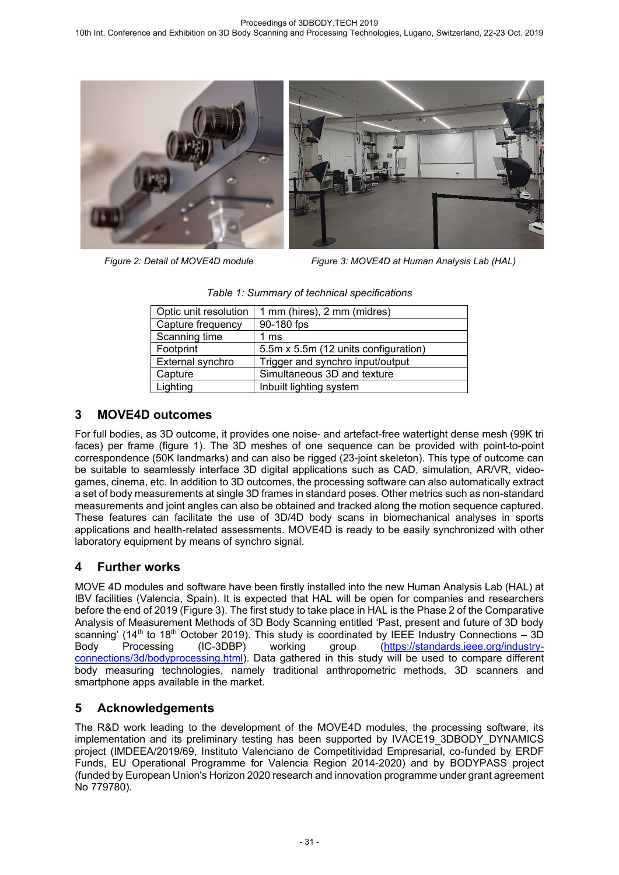

*Figure 2: Detail of MOVE4D module Figure 3: MOVE4D at Human Analysis Lab (HAL)* 

| Optic unit resolution | 1 mm (hires), 2 mm (midres)          |  |
|-----------------------|--------------------------------------|--|
| Capture frequency     | 90-180 fps                           |  |
| Scanning time         | 1 $ms$                               |  |
| Footprint             | 5.5m x 5.5m (12 units configuration) |  |
| External synchro      | Trigger and synchro input/output     |  |
| Capture               | Simultaneous 3D and texture          |  |
| Lighting              | Inbuilt lighting system              |  |

|  |  |  |  | Table 1: Summary of technical specifications |
|--|--|--|--|----------------------------------------------|
|--|--|--|--|----------------------------------------------|

## **3 MOVE4D outcomes**

For full bodies, as 3D outcome, it provides one noise- and artefact-free watertight dense mesh (99K tri faces) per frame (figure 1). The 3D meshes of one sequence can be provided with point-to-point correspondence (50K landmarks) and can also be rigged (23-joint skeleton). This type of outcome can be suitable to seamlessly interface 3D digital applications such as CAD, simulation, AR/VR, videogames, cinema, etc. In addition to 3D outcomes, the processing software can also automatically extract a set of body measurements at single 3D frames in standard poses. Other metrics such as non-standard measurements and joint angles can also be obtained and tracked along the motion sequence captured. These features can facilitate the use of 3D/4D body scans in biomechanical analyses in sports applications and health-related assessments. MOVE4D is ready to be easily synchronized with other laboratory equipment by means of synchro signal.

## **4 Further works**

MOVE 4D modules and software have been firstly installed into the new Human Analysis Lab (HAL) at IBV facilities (Valencia, Spain). It is expected that HAL will be open for companies and researchers before the end of 2019 (Figure 3). The first study to take place in HAL is the Phase 2 of the Comparative Analysis of Measurement Methods of 3D Body Scanning entitled 'Past, present and future of 3D body scanning' (14<sup>th</sup> to 18<sup>th</sup> October 2019). This study is coordinated by IEEE Industry Connections – 3D<br>Body Processing (IC-3DBP) working group (https://standards.jeee.org/industry-Body Processing (IC-3DBP) working group (https://standards.ieee.org/industryconnections/3d/bodyprocessing.html). Data gathered in this study will be used to compare different body measuring technologies, namely traditional anthropometric methods, 3D scanners and smartphone apps available in the market.

## **5 Acknowledgements**

The R&D work leading to the development of the MOVE4D modules, the processing software, its implementation and its preliminary testing has been supported by IVACE19 3DBODY DYNAMICS project (IMDEEA/2019/69, Instituto Valenciano de Competitividad Empresarial, co-funded by ERDF Funds, EU Operational Programme for Valencia Region 2014-2020) and by BODYPASS project (funded by European Union's Horizon 2020 research and innovation programme under grant agreement No 779780).